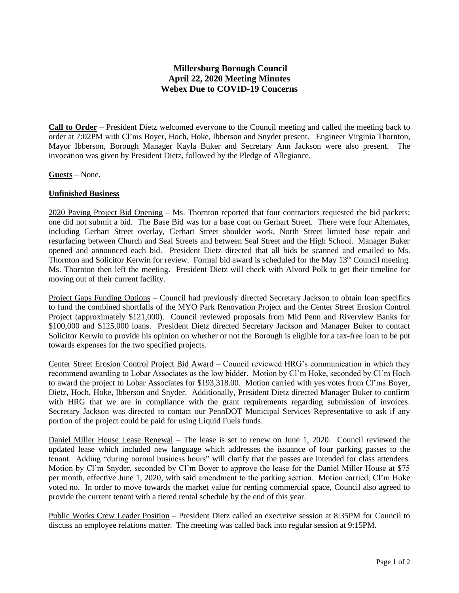## **Millersburg Borough Council April 22, 2020 Meeting Minutes Webex Due to COVID-19 Concerns**

**Call to Order** – President Dietz welcomed everyone to the Council meeting and called the meeting back to order at 7:02PM with Cl'ms Boyer, Hoch, Hoke, Ibberson and Snyder present. Engineer Virginia Thornton, Mayor Ibberson, Borough Manager Kayla Buker and Secretary Ann Jackson were also present. The invocation was given by President Dietz, followed by the Pledge of Allegiance.

**Guests** – None.

## **Unfinished Business**

2020 Paving Project Bid Opening – Ms. Thornton reported that four contractors requested the bid packets; one did not submit a bid. The Base Bid was for a base coat on Gerhart Street. There were four Alternates, including Gerhart Street overlay, Gerhart Street shoulder work, North Street limited base repair and resurfacing between Church and Seal Streets and between Seal Street and the High School. Manager Buker opened and announced each bid. President Dietz directed that all bids be scanned and emailed to Ms. Thornton and Solicitor Kerwin for review. Formal bid award is scheduled for the May 13<sup>th</sup> Council meeting. Ms. Thornton then left the meeting. President Dietz will check with Alvord Polk to get their timeline for moving out of their current facility.

Project Gaps Funding Options – Council had previously directed Secretary Jackson to obtain loan specifics to fund the combined shortfalls of the MYO Park Renovation Project and the Center Street Erosion Control Project (approximately \$121,000). Council reviewed proposals from Mid Penn and Riverview Banks for \$100,000 and \$125,000 loans. President Dietz directed Secretary Jackson and Manager Buker to contact Solicitor Kerwin to provide his opinion on whether or not the Borough is eligible for a tax-free loan to be put towards expenses for the two specified projects.

Center Street Erosion Control Project Bid Award – Council reviewed HRG's communication in which they recommend awarding to Lobar Associates as the low bidder. Motion by Cl'm Hoke, seconded by Cl'm Hoch to award the project to Lobar Associates for \$193,318.00. Motion carried with yes votes from Cl'ms Boyer, Dietz, Hoch, Hoke, Ibberson and Snyder. Additionally, President Dietz directed Manager Buker to confirm with HRG that we are in compliance with the grant requirements regarding submission of invoices. Secretary Jackson was directed to contact our PennDOT Municipal Services Representative to ask if any portion of the project could be paid for using Liquid Fuels funds.

Daniel Miller House Lease Renewal – The lease is set to renew on June 1, 2020. Council reviewed the updated lease which included new language which addresses the issuance of four parking passes to the tenant. Adding "during normal business hours" will clarify that the passes are intended for class attendees. Motion by Cl'm Snyder, seconded by Cl'm Boyer to approve the lease for the Daniel Miller House at \$75 per month, effective June 1, 2020, with said amendment to the parking section. Motion carried; Cl'm Hoke voted no. In order to move towards the market value for renting commercial space, Council also agreed to provide the current tenant with a tiered rental schedule by the end of this year.

Public Works Crew Leader Position – President Dietz called an executive session at 8:35PM for Council to discuss an employee relations matter. The meeting was called back into regular session at 9:15PM.